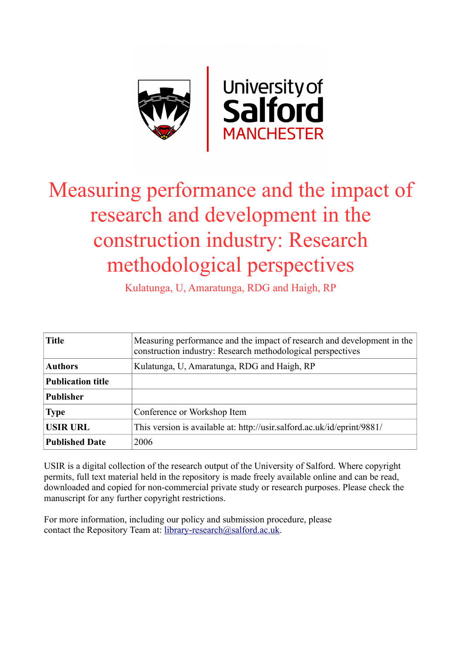

# Measuring performance and the impact of research and development in the construction industry: Research methodological perspectives

Kulatunga, U, Amaratunga, RDG and Haigh, RP

| <b>Title</b>             | Measuring performance and the impact of research and development in the<br>construction industry: Research methodological perspectives |  |
|--------------------------|----------------------------------------------------------------------------------------------------------------------------------------|--|
| <b>Authors</b>           | Kulatunga, U, Amaratunga, RDG and Haigh, RP                                                                                            |  |
| <b>Publication title</b> |                                                                                                                                        |  |
| <b>Publisher</b>         |                                                                                                                                        |  |
| <b>Type</b>              | Conference or Workshop Item                                                                                                            |  |
| <b>USIR URL</b>          | This version is available at: http://usir.salford.ac.uk/id/eprint/9881/                                                                |  |
| <b>Published Date</b>    | 2006                                                                                                                                   |  |

USIR is a digital collection of the research output of the University of Salford. Where copyright permits, full text material held in the repository is made freely available online and can be read, downloaded and copied for non-commercial private study or research purposes. Please check the manuscript for any further copyright restrictions.

For more information, including our policy and submission procedure, please contact the Repository Team at: [library-research@salford.ac.uk.](mailto:library-research@salford.ac.uk)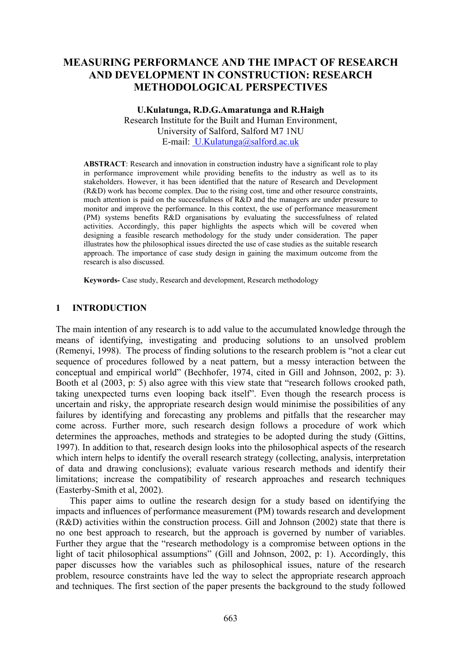# **MEASURING PERFORMANCE AND THE IMPACT OF RESEARCH AND DEVELOPMENT IN CONSTRUCTION: RESEARCH METHODOLOGICAL PERSPECTIVES**

### **U.Kulatunga, R.D.G.Amaratunga and R.Haigh**  Research Institute for the Built and Human Environment, University of Salford, Salford M7 1NU E-mail: U.Kulatunga@salford.ac.uk

**ABSTRACT**: Research and innovation in construction industry have a significant role to play in performance improvement while providing benefits to the industry as well as to its stakeholders. However, it has been identified that the nature of Research and Development (R&D) work has become complex. Due to the rising cost, time and other resource constraints, much attention is paid on the successfulness of R&D and the managers are under pressure to monitor and improve the performance. In this context, the use of performance measurement (PM) systems benefits R&D organisations by evaluating the successfulness of related activities. Accordingly, this paper highlights the aspects which will be covered when designing a feasible research methodology for the study under consideration. The paper illustrates how the philosophical issues directed the use of case studies as the suitable research approach. The importance of case study design in gaining the maximum outcome from the research is also discussed.

**Keywords-** Case study, Research and development, Research methodology

# **1 INTRODUCTION**

The main intention of any research is to add value to the accumulated knowledge through the means of identifying, investigating and producing solutions to an unsolved problem (Remenyi, 1998). The process of finding solutions to the research problem is "not a clear cut sequence of procedures followed by a neat pattern, but a messy interaction between the conceptual and empirical world" (Bechhofer, 1974, cited in Gill and Johnson, 2002, p: 3). Booth et al (2003, p: 5) also agree with this view state that "research follows crooked path, taking unexpected turns even looping back itself". Even though the research process is uncertain and risky, the appropriate research design would minimise the possibilities of any failures by identifying and forecasting any problems and pitfalls that the researcher may come across. Further more, such research design follows a procedure of work which determines the approaches, methods and strategies to be adopted during the study (Gittins, 1997). In addition to that, research design looks into the philosophical aspects of the research which intern helps to identify the overall research strategy (collecting, analysis, interpretation of data and drawing conclusions); evaluate various research methods and identify their limitations; increase the compatibility of research approaches and research techniques (Easterby-Smith et al, 2002).

This paper aims to outline the research design for a study based on identifying the impacts and influences of performance measurement (PM) towards research and development (R&D) activities within the construction process. Gill and Johnson (2002) state that there is no one best approach to research, but the approach is governed by number of variables. Further they argue that the "research methodology is a compromise between options in the light of tacit philosophical assumptions" (Gill and Johnson, 2002, p: 1). Accordingly, this paper discusses how the variables such as philosophical issues, nature of the research problem, resource constraints have led the way to select the appropriate research approach and techniques. The first section of the paper presents the background to the study followed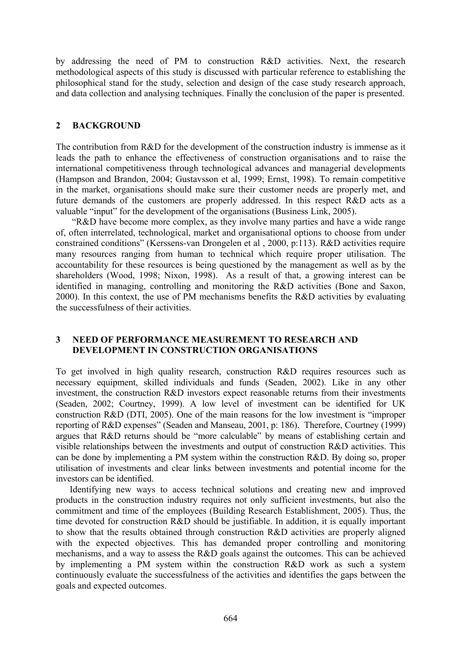by addressing the need of PM to construction R&D activities. Next, the research methodological aspects of this study is discussed with particular reference to establishing the philosophical stand for the study, selection and design of the case study research approach, and data collection and analysing techniques. Finally the conclusion of the paper is presented.

## **2 BACKGROUND**

The contribution from R&D for the development of the construction industry is immense as it leads the path to enhance the effectiveness of construction organisations and to raise the international competitiveness through technological advances and managerial developments (Hampson and Brandon, 2004; Gustavsson et al, 1999; Ernst, 1998). To remain competitive in the market, organisations should make sure their customer needs are properly met, and future demands of the customers are properly addressed. In this respect R&D acts as a valuable "input" for the development of the organisations (Business Link, 2005).

 "R&D have become more complex, as they involve many parties and have a wide range of, often interrelated, technological, market and organisational options to choose from under constrained conditions" (Kerssens-van Drongelen et al , 2000, p:113). R&D activities require many resources ranging from human to technical which require proper utilisation. The accountability for these resources is being questioned by the management as well as by the shareholders (Wood, 1998; Nixon, 1998). As a result of that, a growing interest can be identified in managing, controlling and monitoring the R&D activities (Bone and Saxon, 2000). In this context, the use of PM mechanisms benefits the R&D activities by evaluating the successfulness of their activities.

# **3 NEED OF PERFORMANCE MEASUREMENT TO RESEARCH AND DEVELOPMENT IN CONSTRUCTION ORGANISATIONS**

To get involved in high quality research, construction R&D requires resources such as necessary equipment, skilled individuals and funds (Seaden, 2002). Like in any other investment, the construction R&D investors expect reasonable returns from their investments (Seaden, 2002; Courtney, 1999). A low level of investment can be identified for UK construction R&D (DTI, 2005). One of the main reasons for the low investment is "improper reporting of R&D expenses" (Seaden and Manseau, 2001, p: 186). Therefore, Courtney (1999) argues that R&D returns should be "more calculable" by means of establishing certain and visible relationships between the investments and output of construction R&D activities. This can be done by implementing a PM system within the construction R&D. By doing so, proper utilisation of investments and clear links between investments and potential income for the investors can be identified.

Identifying new ways to access technical solutions and creating new and improved products in the construction industry requires not only sufficient investments, but also the commitment and time of the employees (Building Research Establishment, 2005). Thus, the time devoted for construction R&D should be justifiable. In addition, it is equally important to show that the results obtained through construction R&D activities are properly aligned with the expected objectives. This has demanded proper controlling and monitoring mechanisms, and a way to assess the R&D goals against the outcomes. This can be achieved by implementing a PM system within the construction R&D work as such a system continuously evaluate the successfulness of the activities and identifies the gaps between the goals and expected outcomes.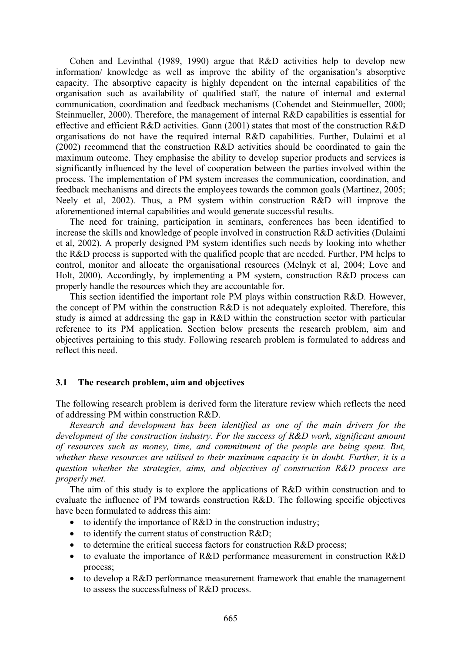Cohen and Levinthal (1989, 1990) argue that R&D activities help to develop new information/ knowledge as well as improve the ability of the organisation's absorptive capacity. The absorptive capacity is highly dependent on the internal capabilities of the organisation such as availability of qualified staff, the nature of internal and external communication, coordination and feedback mechanisms (Cohendet and Steinmueller, 2000; Steinmueller, 2000). Therefore, the management of internal R&D capabilities is essential for effective and efficient R&D activities. Gann (2001) states that most of the construction R&D organisations do not have the required internal R&D capabilities. Further, Dulaimi et al (2002) recommend that the construction R&D activities should be coordinated to gain the maximum outcome. They emphasise the ability to develop superior products and services is significantly influenced by the level of cooperation between the parties involved within the process. The implementation of PM system increases the communication, coordination, and feedback mechanisms and directs the employees towards the common goals (Martinez, 2005; Neely et al, 2002). Thus, a PM system within construction R&D will improve the aforementioned internal capabilities and would generate successful results.

The need for training, participation in seminars, conferences has been identified to increase the skills and knowledge of people involved in construction R&D activities (Dulaimi et al, 2002). A properly designed PM system identifies such needs by looking into whether the R&D process is supported with the qualified people that are needed. Further, PM helps to control, monitor and allocate the organisational resources (Melnyk et al, 2004; Love and Holt, 2000). Accordingly, by implementing a PM system, construction R&D process can properly handle the resources which they are accountable for.

This section identified the important role PM plays within construction R&D. However, the concept of PM within the construction R&D is not adequately exploited. Therefore, this study is aimed at addressing the gap in R&D within the construction sector with particular reference to its PM application. Section below presents the research problem, aim and objectives pertaining to this study. Following research problem is formulated to address and reflect this need.

### **3.1 The research problem, aim and objectives**

The following research problem is derived form the literature review which reflects the need of addressing PM within construction R&D.

*Research and development has been identified as one of the main drivers for the development of the construction industry. For the success of R&D work, significant amount of resources such as money, time, and commitment of the people are being spent. But, whether these resources are utilised to their maximum capacity is in doubt. Further, it is a question whether the strategies, aims, and objectives of construction R&D process are properly met.* 

The aim of this study is to explore the applications of R&D within construction and to evaluate the influence of PM towards construction R&D. The following specific objectives have been formulated to address this aim:

- to identify the importance of R&D in the construction industry:
- to identify the current status of construction R&D;
- to determine the critical success factors for construction R&D process;
- to evaluate the importance of R&D performance measurement in construction R&D process;
- to develop a R&D performance measurement framework that enable the management to assess the successfulness of R&D process.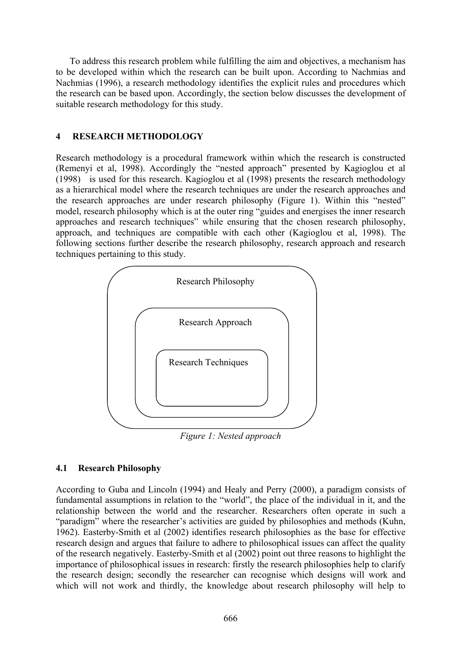To address this research problem while fulfilling the aim and objectives, a mechanism has to be developed within which the research can be built upon. According to Nachmias and Nachmias (1996), a research methodology identifies the explicit rules and procedures which the research can be based upon. Accordingly, the section below discusses the development of suitable research methodology for this study.

# **4 RESEARCH METHODOLOGY**

Research methodology is a procedural framework within which the research is constructed (Remenyi et al, 1998). Accordingly the "nested approach" presented by Kagioglou et al (1998) is used for this research. Kagioglou et al (1998) presents the research methodology as a hierarchical model where the research techniques are under the research approaches and the research approaches are under research philosophy (Figure 1). Within this "nested" model, research philosophy which is at the outer ring "guides and energises the inner research approaches and research techniques" while ensuring that the chosen research philosophy, approach, and techniques are compatible with each other (Kagioglou et al, 1998). The following sections further describe the research philosophy, research approach and research techniques pertaining to this study.



*Figure 1: Nested approach* 

# **4.1 Research Philosophy**

According to Guba and Lincoln (1994) and Healy and Perry (2000), a paradigm consists of fundamental assumptions in relation to the "world", the place of the individual in it, and the relationship between the world and the researcher. Researchers often operate in such a "paradigm" where the researcher's activities are guided by philosophies and methods (Kuhn, 1962). Easterby-Smith et al (2002) identifies research philosophies as the base for effective research design and argues that failure to adhere to philosophical issues can affect the quality of the research negatively. Easterby-Smith et al (2002) point out three reasons to highlight the importance of philosophical issues in research: firstly the research philosophies help to clarify the research design; secondly the researcher can recognise which designs will work and which will not work and thirdly, the knowledge about research philosophy will help to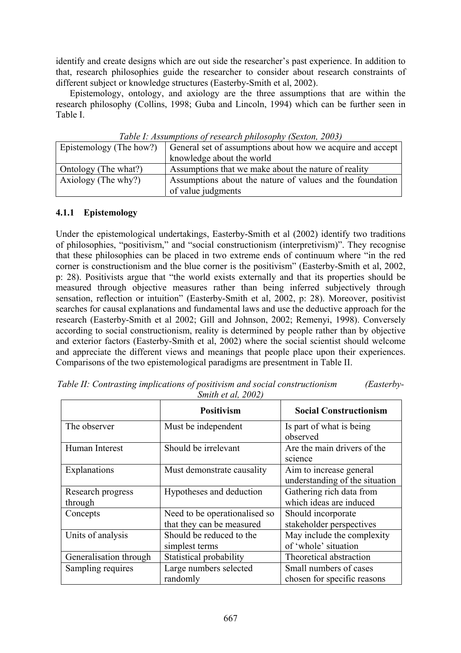identify and create designs which are out side the researcher's past experience. In addition to that, research philosophies guide the researcher to consider about research constraints of different subject or knowledge structures (Easterby-Smith et al, 2002).

Epistemology, ontology, and axiology are the three assumptions that are within the research philosophy (Collins, 1998; Guba and Lincoln, 1994) which can be further seen in Table I.

| Tuble 1. Assumptions of research philosophy (bexton, 2005) |                                                            |  |  |  |  |
|------------------------------------------------------------|------------------------------------------------------------|--|--|--|--|
| Epistemology (The how?)                                    | General set of assumptions about how we acquire and accept |  |  |  |  |
|                                                            | knowledge about the world                                  |  |  |  |  |
| Ontology (The what?)                                       | Assumptions that we make about the nature of reality       |  |  |  |  |
| Axiology (The why?)                                        | Assumptions about the nature of values and the foundation  |  |  |  |  |
|                                                            | of value judgments                                         |  |  |  |  |

*Table I: Assumptions of research philosophy (Sexton, 2003)* 

# **4.1.1 Epistemology**

Under the epistemological undertakings, Easterby-Smith et al (2002) identify two traditions of philosophies, "positivism," and "social constructionism (interpretivism)". They recognise that these philosophies can be placed in two extreme ends of continuum where "in the red corner is constructionism and the blue corner is the positivism" (Easterby-Smith et al, 2002, p: 28). Positivists argue that "the world exists externally and that its properties should be measured through objective measures rather than being inferred subjectively through sensation, reflection or intuition" (Easterby-Smith et al, 2002, p: 28). Moreover, positivist searches for causal explanations and fundamental laws and use the deductive approach for the research (Easterby-Smith et al 2002; Gill and Johnson, 2002; Remenyi, 1998). Conversely according to social constructionism, reality is determined by people rather than by objective and exterior factors (Easterby-Smith et al, 2002) where the social scientist should welcome and appreciate the different views and meanings that people place upon their experiences. Comparisons of the two epistemological paradigms are presentment in Table II.

|                        | <b>Positivism</b>             | <b>Social Constructionism</b>  |  |
|------------------------|-------------------------------|--------------------------------|--|
| The observer           | Must be independent           | Is part of what is being       |  |
|                        |                               | observed                       |  |
| Human Interest         | Should be irrelevant          | Are the main drivers of the    |  |
|                        |                               | science                        |  |
| Explanations           | Must demonstrate causality    | Aim to increase general        |  |
|                        |                               | understanding of the situation |  |
| Research progress      | Hypotheses and deduction      | Gathering rich data from       |  |
| through                |                               | which ideas are induced        |  |
| Concepts               | Need to be operationalised so | Should incorporate             |  |
|                        | that they can be measured     | stakeholder perspectives       |  |
| Units of analysis      | Should be reduced to the      | May include the complexity     |  |
|                        | simplest terms                | of 'whole' situation           |  |
| Generalisation through | Statistical probability       | Theoretical abstraction        |  |
| Sampling requires      | Large numbers selected        | Small numbers of cases         |  |
|                        | randomly                      | chosen for specific reasons    |  |

*Table II: Contrasting implications of positivism and social constructionism (Easterby-Smith et al, 2002)*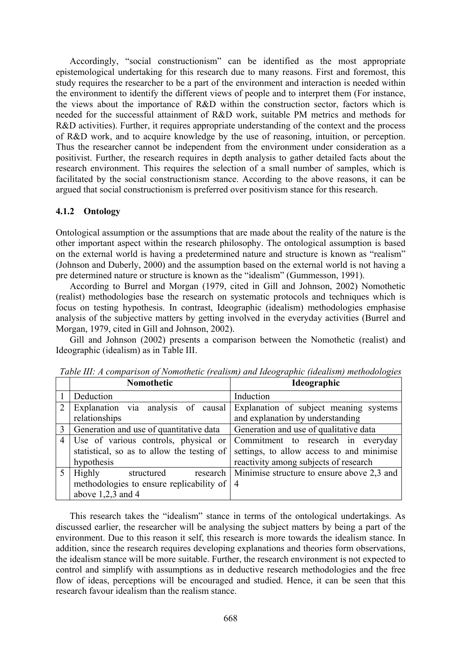Accordingly, "social constructionism" can be identified as the most appropriate epistemological undertaking for this research due to many reasons. First and foremost, this study requires the researcher to be a part of the environment and interaction is needed within the environment to identify the different views of people and to interpret them (For instance, the views about the importance of R&D within the construction sector, factors which is needed for the successful attainment of R&D work, suitable PM metrics and methods for R&D activities). Further, it requires appropriate understanding of the context and the process of R&D work, and to acquire knowledge by the use of reasoning, intuition, or perception. Thus the researcher cannot be independent from the environment under consideration as a positivist. Further, the research requires in depth analysis to gather detailed facts about the research environment. This requires the selection of a small number of samples, which is facilitated by the social constructionism stance. According to the above reasons, it can be argued that social constructionism is preferred over positivism stance for this research.

# **4.1.2 Ontology**

Ontological assumption or the assumptions that are made about the reality of the nature is the other important aspect within the research philosophy. The ontological assumption is based on the external world is having a predetermined nature and structure is known as "realism" (Johnson and Duberly, 2000) and the assumption based on the external world is not having a pre determined nature or structure is known as the "idealism" (Gummesson, 1991).

According to Burrel and Morgan (1979, cited in Gill and Johnson, 2002) Nomothetic (realist) methodologies base the research on systematic protocols and techniques which is focus on testing hypothesis. In contrast, Ideographic (idealism) methodologies emphasise analysis of the subjective matters by getting involved in the everyday activities (Burrel and Morgan, 1979, cited in Gill and Johnson, 2002).

Gill and Johnson (2002) presents a comparison between the Nomothetic (realist) and Ideographic (idealism) as in Table III.

|                | Nomothetic                                                                                          | Ideographic                                                                                                              |  |
|----------------|-----------------------------------------------------------------------------------------------------|--------------------------------------------------------------------------------------------------------------------------|--|
|                | Deduction                                                                                           | Induction                                                                                                                |  |
| 2              | Explanation via analysis of causal<br>relationships                                                 | Explanation of subject meaning systems<br>and explanation by understanding                                               |  |
| 3              | Generation and use of quantitative data                                                             | Generation and use of qualitative data                                                                                   |  |
| 4              | Use of various controls, physical or<br>statistical, so as to allow the testing of<br>hypothesis    | Commitment to research in everyday<br>settings, to allow access to and minimise<br>reactivity among subjects of research |  |
| $\overline{5}$ | Highly<br>research<br>structured<br>methodologies to ensure replicability of<br>above $1,2,3$ and 4 | Minimise structure to ensure above 2,3 and<br>$\overline{4}$                                                             |  |

*Table III: A comparison of Nomothetic (realism) and Ideographic (idealism) methodologies* 

This research takes the "idealism" stance in terms of the ontological undertakings. As discussed earlier, the researcher will be analysing the subject matters by being a part of the environment. Due to this reason it self, this research is more towards the idealism stance. In addition, since the research requires developing explanations and theories form observations, the idealism stance will be more suitable. Further, the research environment is not expected to control and simplify with assumptions as in deductive research methodologies and the free flow of ideas, perceptions will be encouraged and studied. Hence, it can be seen that this research favour idealism than the realism stance.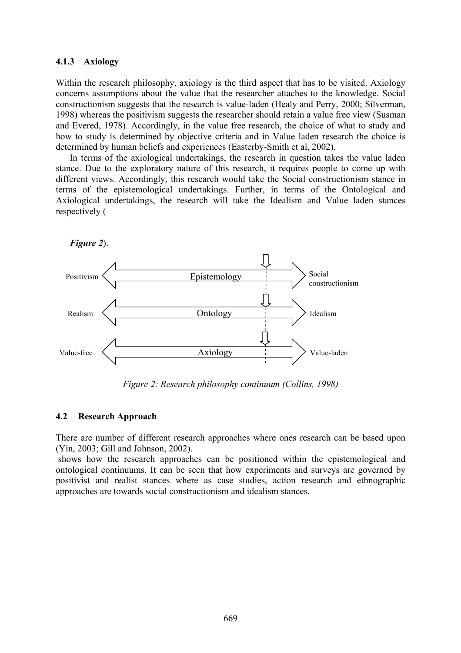#### **4.1.3 Axiology**

Within the research philosophy, axiology is the third aspect that has to be visited. Axiology concerns assumptions about the value that the researcher attaches to the knowledge. Social constructionism suggests that the research is value-laden (Healy and Perry, 2000; Silverman, 1998) whereas the positivism suggests the researcher should retain a value free view (Susman and Evered, 1978). Accordingly, in the value free research, the choice of what to study and how to study is determined by objective criteria and in Value laden research the choice is determined by human beliefs and experiences (Easterby-Smith et al, 2002).

In terms of the axiological undertakings, the research in question takes the value laden stance. Due to the exploratory nature of this research, it requires people to come up with different views. Accordingly, this research would take the Social constructionism stance in terms of the epistemological undertakings. Further, in terms of the Ontological and Axiological undertakings, the research will take the Idealism and Value laden stances respectively (





*Figure 2: Research philosophy continuum (Collins, 1998)* 

#### **4.2 Research Approach**

There are number of different research approaches where ones research can be based upon (Yin, 2003; Gill and Johnson, 2002).

 shows how the research approaches can be positioned within the epistemological and ontological continuums. It can be seen that how experiments and surveys are governed by positivist and realist stances where as case studies, action research and ethnographic approaches are towards social constructionism and idealism stances.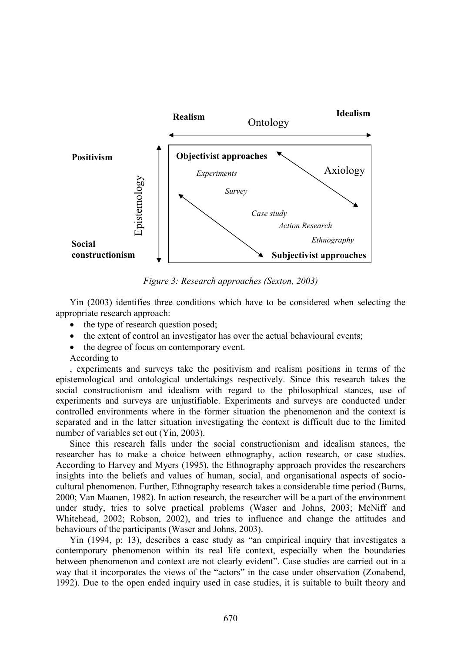

*Figure 3: Research approaches (Sexton, 2003)* 

Yin (2003) identifies three conditions which have to be considered when selecting the appropriate research approach:

- the type of research question posed;
- the extent of control an investigator has over the actual behavioural events;
- the degree of focus on contemporary event.

According to

, experiments and surveys take the positivism and realism positions in terms of the epistemological and ontological undertakings respectively. Since this research takes the social constructionism and idealism with regard to the philosophical stances, use of experiments and surveys are unjustifiable. Experiments and surveys are conducted under controlled environments where in the former situation the phenomenon and the context is separated and in the latter situation investigating the context is difficult due to the limited number of variables set out (Yin, 2003).

Since this research falls under the social constructionism and idealism stances, the researcher has to make a choice between ethnography, action research, or case studies. According to Harvey and Myers (1995), the Ethnography approach provides the researchers insights into the beliefs and values of human, social, and organisational aspects of sociocultural phenomenon. Further, Ethnography research takes a considerable time period (Burns, 2000; Van Maanen, 1982). In action research, the researcher will be a part of the environment under study, tries to solve practical problems (Waser and Johns, 2003; McNiff and Whitehead, 2002; Robson, 2002), and tries to influence and change the attitudes and behaviours of the participants (Waser and Johns, 2003).

Yin (1994, p: 13), describes a case study as "an empirical inquiry that investigates a contemporary phenomenon within its real life context, especially when the boundaries between phenomenon and context are not clearly evident". Case studies are carried out in a way that it incorporates the views of the "actors" in the case under observation (Zonabend, 1992). Due to the open ended inquiry used in case studies, it is suitable to built theory and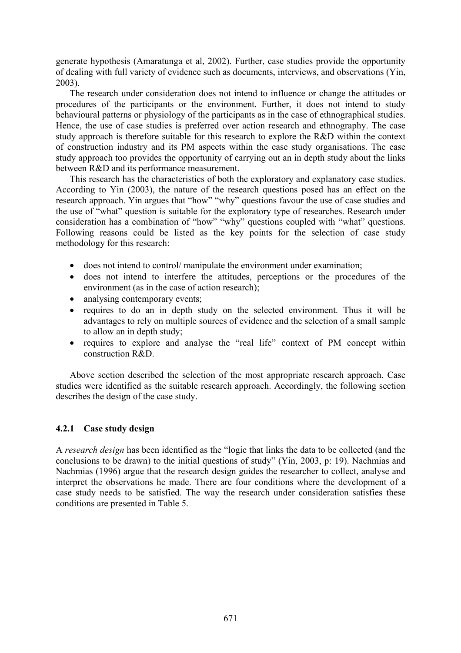generate hypothesis (Amaratunga et al, 2002). Further, case studies provide the opportunity of dealing with full variety of evidence such as documents, interviews, and observations (Yin, 2003).

The research under consideration does not intend to influence or change the attitudes or procedures of the participants or the environment. Further, it does not intend to study behavioural patterns or physiology of the participants as in the case of ethnographical studies. Hence, the use of case studies is preferred over action research and ethnography. The case study approach is therefore suitable for this research to explore the R&D within the context of construction industry and its PM aspects within the case study organisations. The case study approach too provides the opportunity of carrying out an in depth study about the links between R&D and its performance measurement.

This research has the characteristics of both the exploratory and explanatory case studies. According to Yin (2003), the nature of the research questions posed has an effect on the research approach. Yin argues that "how" "why" questions favour the use of case studies and the use of "what" question is suitable for the exploratory type of researches. Research under consideration has a combination of "how" "why" questions coupled with "what" questions. Following reasons could be listed as the key points for the selection of case study methodology for this research:

- does not intend to control/ manipulate the environment under examination;
- does not intend to interfere the attitudes, perceptions or the procedures of the environment (as in the case of action research);
- analysing contemporary events:
- requires to do an in depth study on the selected environment. Thus it will be advantages to rely on multiple sources of evidence and the selection of a small sample to allow an in depth study;
- requires to explore and analyse the "real life" context of PM concept within construction R&D.

Above section described the selection of the most appropriate research approach. Case studies were identified as the suitable research approach. Accordingly, the following section describes the design of the case study.

### **4.2.1 Case study design**

A *research design* has been identified as the "logic that links the data to be collected (and the conclusions to be drawn) to the initial questions of study" (Yin, 2003, p: 19). Nachmias and Nachmias (1996) argue that the research design guides the researcher to collect, analyse and interpret the observations he made. There are four conditions where the development of a case study needs to be satisfied. The way the research under consideration satisfies these conditions are presented in Table 5.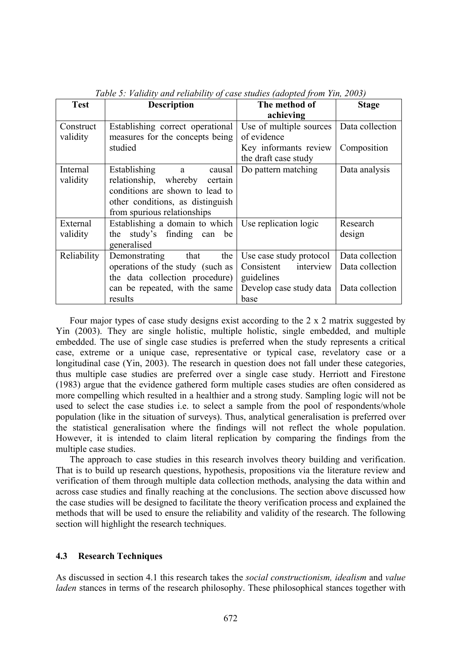| <b>Test</b> | <b>Description</b>               | The method of           | <b>Stage</b>    |
|-------------|----------------------------------|-------------------------|-----------------|
|             |                                  | achieving               |                 |
| Construct   | Establishing correct operational | Use of multiple sources | Data collection |
| validity    | measures for the concepts being  | of evidence             |                 |
|             | studied                          | Key informants review   | Composition     |
|             |                                  | the draft case study    |                 |
| Internal    | Establishing<br>causal<br>a a    | Do pattern matching     | Data analysis   |
| validity    | relationship, whereby<br>certain |                         |                 |
|             | conditions are shown to lead to  |                         |                 |
|             | other conditions, as distinguish |                         |                 |
|             | from spurious relationships      |                         |                 |
| External    | Establishing a domain to which   | Use replication logic   | Research        |
| validity    | study's finding can be<br>the    |                         | design          |
|             | generalised                      |                         |                 |
| Reliability | Demonstrating<br>the<br>that     | Use case study protocol | Data collection |
|             | operations of the study (such as | interview<br>Consistent | Data collection |
|             | the data collection procedure)   | guidelines              |                 |
|             | can be repeated, with the same   | Develop case study data | Data collection |
|             | results                          | base                    |                 |

*Table 5: Validity and reliability of case studies (adopted from Yin, 2003)* 

Four major types of case study designs exist according to the 2 x 2 matrix suggested by Yin (2003). They are single holistic, multiple holistic, single embedded, and multiple embedded. The use of single case studies is preferred when the study represents a critical case, extreme or a unique case, representative or typical case, revelatory case or a longitudinal case (Yin, 2003). The research in question does not fall under these categories, thus multiple case studies are preferred over a single case study. Herriott and Firestone (1983) argue that the evidence gathered form multiple cases studies are often considered as more compelling which resulted in a healthier and a strong study. Sampling logic will not be used to select the case studies i.e. to select a sample from the pool of respondents/whole population (like in the situation of surveys). Thus, analytical generalisation is preferred over the statistical generalisation where the findings will not reflect the whole population. However, it is intended to claim literal replication by comparing the findings from the multiple case studies.

The approach to case studies in this research involves theory building and verification. That is to build up research questions, hypothesis, propositions via the literature review and verification of them through multiple data collection methods, analysing the data within and across case studies and finally reaching at the conclusions. The section above discussed how the case studies will be designed to facilitate the theory verification process and explained the methods that will be used to ensure the reliability and validity of the research. The following section will highlight the research techniques.

### **4.3 Research Techniques**

As discussed in section 4.1 this research takes the *social constructionism, idealism* and *value laden* stances in terms of the research philosophy. These philosophical stances together with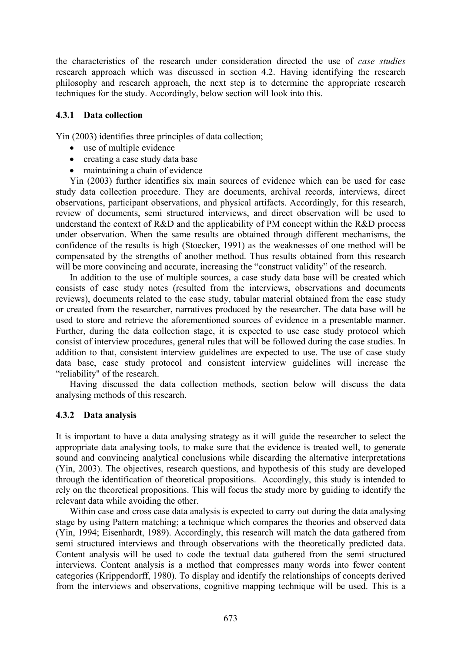the characteristics of the research under consideration directed the use of *case studies* research approach which was discussed in section 4.2. Having identifying the research philosophy and research approach, the next step is to determine the appropriate research techniques for the study. Accordingly, below section will look into this.

### **4.3.1 Data collection**

Yin (2003) identifies three principles of data collection;

- use of multiple evidence
- creating a case study data base
- maintaining a chain of evidence

Yin (2003) further identifies six main sources of evidence which can be used for case study data collection procedure. They are documents, archival records, interviews, direct observations, participant observations, and physical artifacts. Accordingly, for this research, review of documents, semi structured interviews, and direct observation will be used to understand the context of R&D and the applicability of PM concept within the R&D process under observation. When the same results are obtained through different mechanisms, the confidence of the results is high (Stoecker, 1991) as the weaknesses of one method will be compensated by the strengths of another method. Thus results obtained from this research will be more convincing and accurate, increasing the "construct validity" of the research.

In addition to the use of multiple sources, a case study data base will be created which consists of case study notes (resulted from the interviews, observations and documents reviews), documents related to the case study, tabular material obtained from the case study or created from the researcher, narratives produced by the researcher. The data base will be used to store and retrieve the aforementioned sources of evidence in a presentable manner. Further, during the data collection stage, it is expected to use case study protocol which consist of interview procedures, general rules that will be followed during the case studies. In addition to that, consistent interview guidelines are expected to use. The use of case study data base, case study protocol and consistent interview guidelines will increase the "reliability" of the research.

Having discussed the data collection methods, section below will discuss the data analysing methods of this research.

### **4.3.2 Data analysis**

It is important to have a data analysing strategy as it will guide the researcher to select the appropriate data analysing tools, to make sure that the evidence is treated well, to generate sound and convincing analytical conclusions while discarding the alternative interpretations (Yin, 2003). The objectives, research questions, and hypothesis of this study are developed through the identification of theoretical propositions. Accordingly, this study is intended to rely on the theoretical propositions. This will focus the study more by guiding to identify the relevant data while avoiding the other.

Within case and cross case data analysis is expected to carry out during the data analysing stage by using Pattern matching; a technique which compares the theories and observed data (Yin, 1994; Eisenhardt, 1989). Accordingly, this research will match the data gathered from semi structured interviews and through observations with the theoretically predicted data. Content analysis will be used to code the textual data gathered from the semi structured interviews. Content analysis is a method that compresses many words into fewer content categories (Krippendorff, 1980). To display and identify the relationships of concepts derived from the interviews and observations, cognitive mapping technique will be used. This is a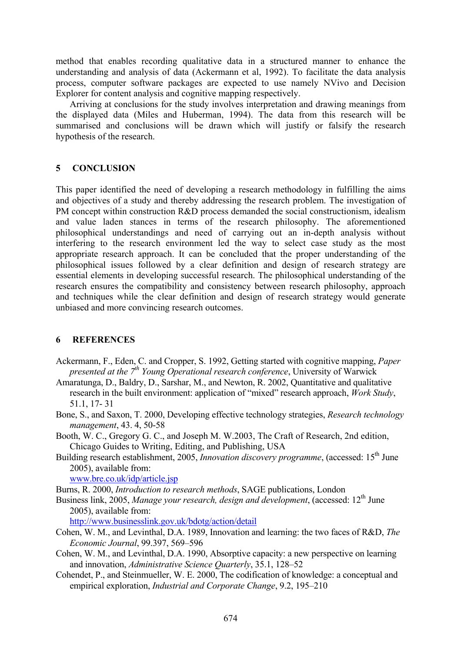method that enables recording qualitative data in a structured manner to enhance the understanding and analysis of data (Ackermann et al, 1992). To facilitate the data analysis process, computer software packages are expected to use namely NVivo and Decision Explorer for content analysis and cognitive mapping respectively.

Arriving at conclusions for the study involves interpretation and drawing meanings from the displayed data (Miles and Huberman, 1994). The data from this research will be summarised and conclusions will be drawn which will justify or falsify the research hypothesis of the research.

# **5 CONCLUSION**

This paper identified the need of developing a research methodology in fulfilling the aims and objectives of a study and thereby addressing the research problem. The investigation of PM concept within construction R&D process demanded the social constructionism, idealism and value laden stances in terms of the research philosophy. The aforementioned philosophical understandings and need of carrying out an in-depth analysis without interfering to the research environment led the way to select case study as the most appropriate research approach. It can be concluded that the proper understanding of the philosophical issues followed by a clear definition and design of research strategy are essential elements in developing successful research. The philosophical understanding of the research ensures the compatibility and consistency between research philosophy, approach and techniques while the clear definition and design of research strategy would generate unbiased and more convincing research outcomes.

# **6 REFERENCES**

- Ackermann, F., Eden, C. and Cropper, S. 1992, Getting started with cognitive mapping, *Paper presented at the 7<sup>th</sup> Young Operational research conference*, University of Warwick
- Amaratunga, D., Baldry, D., Sarshar, M., and Newton, R. 2002, Quantitative and qualitative research in the built environment: application of "mixed" research approach, *Work Study*, 51.1, 17- 31
- Bone, S., and Saxon, T. 2000, Developing effective technology strategies, *Research technology management*, 43. 4, 50-58
- Booth, W. C., Gregory G. C., and Joseph M. W.2003, The Craft of Research, 2nd edition, Chicago Guides to Writing, Editing, and Publishing, USA
- Building research establishment, 2005, *Innovation discovery programme*, (accessed: 15<sup>th</sup> June 2005), available from:

www.bre.co.uk/idp/article.jsp

- Burns, R. 2000, *Introduction to research methods*, SAGE publications, London
- Business link, 2005, *Manage your research, design and development*, (accessed: 12<sup>th</sup> June 2005), available from:

http://www.businesslink.gov.uk/bdotg/action/detail

- Cohen, W. M., and Levinthal, D.A. 1989, Innovation and learning: the two faces of R&D, *The Economic Journal*, 99.397, 569–596
- Cohen, W. M., and Levinthal, D.A. 1990, Absorptive capacity: a new perspective on learning and innovation, *Administrative Science Quarterly*, 35.1, 128–52
- Cohendet, P., and Steinmueller, W. E. 2000, The codification of knowledge: a conceptual and empirical exploration, *Industrial and Corporate Change*, 9.2, 195–210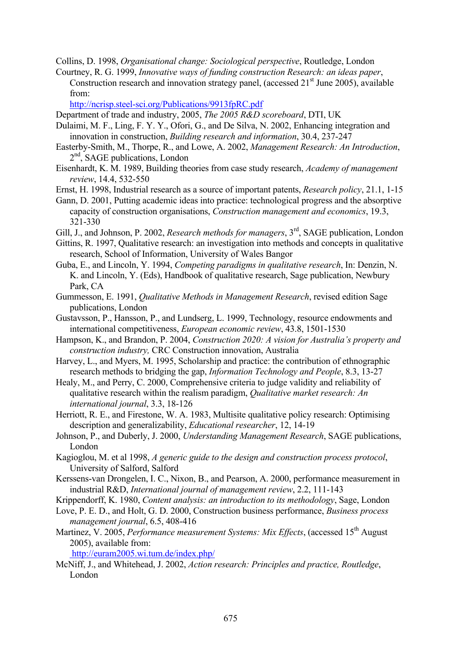Collins, D. 1998, *Organisational change: Sociological perspective*, Routledge, London

Courtney, R. G. 1999, *Innovative ways of funding construction Research: an ideas paper*,

Construction research and innovation strategy panel, (accessed  $21<sup>st</sup>$  June 2005), available from:

http://ncrisp.steel-sci.org/Publications/9913fpRC.pdf

Department of trade and industry, 2005, *The 2005 R&D scoreboard*, DTI, UK

- Dulaimi, M. F., Ling, F. Y. Y., Ofori, G., and De Silva, N. 2002, Enhancing integration and innovation in construction, *Building research and information*, 30.4, 237-247
- Easterby-Smith, M., Thorpe, R., and Lowe, A. 2002, *Management Research: An Introduction*,  $2<sup>nd</sup>$ , SAGE publications, London
- Eisenhardt, K. M. 1989, Building theories from case study research, *Academy of management review*, 14.4, 532-550
- Ernst, H. 1998, Industrial research as a source of important patents, *Research policy*, 21.1, 1-15
- Gann, D. 2001, Putting academic ideas into practice: technological progress and the absorptive capacity of construction organisations, *Construction management and economics*, 19.3, 321-330
- Gill, J., and Johnson, P. 2002, *Research methods for managers*, 3<sup>rd</sup>, SAGE publication, London
- Gittins, R. 1997, Qualitative research: an investigation into methods and concepts in qualitative research, School of Information, University of Wales Bangor
- Guba, E., and Lincoln, Y. 1994, *Competing paradigms in qualitative research*, In: Denzin, N. K. and Lincoln, Y. (Eds), Handbook of qualitative research, Sage publication, Newbury Park, CA
- Gummesson, E. 1991, *Qualitative Methods in Management Research*, revised edition Sage publications, London
- Gustavsson, P., Hansson, P., and Lundserg, L. 1999, Technology, resource endowments and international competitiveness, *European economic review*, 43.8, 1501-1530
- Hampson, K., and Brandon, P. 2004, *Construction 2020: A vision for Australia's property and construction industry,* CRC Construction innovation, Australia
- Harvey, L., and Myers, M. 1995, Scholarship and practice: the contribution of ethnographic research methods to bridging the gap, *Information Technology and People*, 8.3, 13-27
- Healy, M., and Perry, C. 2000, Comprehensive criteria to judge validity and reliability of qualitative research within the realism paradigm, *Qualitative market research: An international journal*, 3.3, 18-126
- Herriott, R. E., and Firestone, W. A. 1983, Multisite qualitative policy research: Optimising description and generalizability, *Educational researcher*, 12, 14-19
- Johnson, P., and Duberly, J. 2000, *Understanding Management Research*, SAGE publications, London
- Kagioglou, M. et al 1998, *A generic guide to the design and construction process protocol*, University of Salford, Salford
- Kerssens-van Drongelen, I. C., Nixon, B., and Pearson, A. 2000, performance measurement in industrial R&D, *International journal of management review*, 2.2, 111-143
- Krippendorff, K. 1980, *Content analysis: an introduction to its methodology*, Sage, London
- Love, P. E. D., and Holt, G. D. 2000, Construction business performance, *Business process management journal*, 6.5, 408-416
- Martinez, V. 2005, *Performance measurement Systems: Mix Effects*, (accessed 15<sup>th</sup> August 2005), available from:

http://euram2005.wi.tum.de/index.php/

McNiff, J., and Whitehead, J. 2002, *Action research: Principles and practice, Routledge*, London